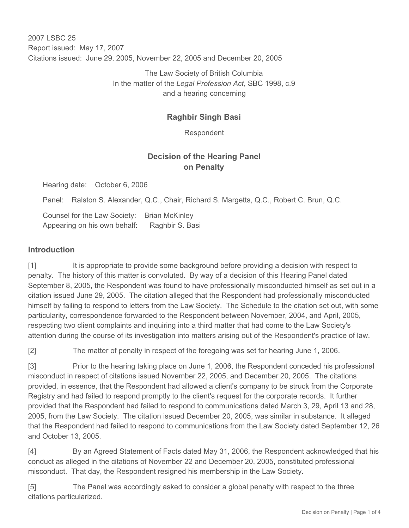2007 LSBC 25 Report issued: May 17, 2007 Citations issued: June 29, 2005, November 22, 2005 and December 20, 2005

> The Law Society of British Columbia In the matter of the *Legal Profession Act*, SBC 1998, c.9 and a hearing concerning

## **Raghbir Singh Basi**

Respondent

## **Decision of the Hearing Panel on Penalty**

Hearing date: October 6, 2006

Panel: Ralston S. Alexander, Q.C., Chair, Richard S. Margetts, Q.C., Robert C. Brun, Q.C.

Counsel for the Law Society: Brian McKinley Appearing on his own behalf: Raghbir S. Basi

#### **Introduction**

[1] It is appropriate to provide some background before providing a decision with respect to penalty. The history of this matter is convoluted. By way of a decision of this Hearing Panel dated September 8, 2005, the Respondent was found to have professionally misconducted himself as set out in a citation issued June 29, 2005. The citation alleged that the Respondent had professionally misconducted himself by failing to respond to letters from the Law Society. The Schedule to the citation set out, with some particularity, correspondence forwarded to the Respondent between November, 2004, and April, 2005, respecting two client complaints and inquiring into a third matter that had come to the Law Society's attention during the course of its investigation into matters arising out of the Respondent's practice of law.

[2] The matter of penalty in respect of the foregoing was set for hearing June 1, 2006.

[3] Prior to the hearing taking place on June 1, 2006, the Respondent conceded his professional misconduct in respect of citations issued November 22, 2005, and December 20, 2005. The citations provided, in essence, that the Respondent had allowed a client's company to be struck from the Corporate Registry and had failed to respond promptly to the client's request for the corporate records. It further provided that the Respondent had failed to respond to communications dated March 3, 29, April 13 and 28, 2005, from the Law Society. The citation issued December 20, 2005, was similar in substance. It alleged that the Respondent had failed to respond to communications from the Law Society dated September 12, 26 and October 13, 2005.

[4] By an Agreed Statement of Facts dated May 31, 2006, the Respondent acknowledged that his conduct as alleged in the citations of November 22 and December 20, 2005, constituted professional misconduct. That day, the Respondent resigned his membership in the Law Society.

[5] The Panel was accordingly asked to consider a global penalty with respect to the three citations particularized.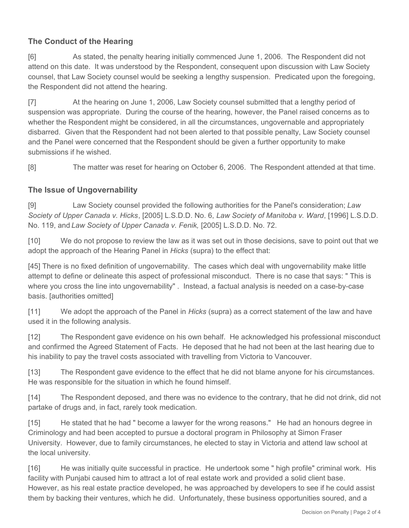# **The Conduct of the Hearing**

[6] As stated, the penalty hearing initially commenced June 1, 2006. The Respondent did not attend on this date. It was understood by the Respondent, consequent upon discussion with Law Society counsel, that Law Society counsel would be seeking a lengthy suspension. Predicated upon the foregoing, the Respondent did not attend the hearing.

[7] At the hearing on June 1, 2006, Law Society counsel submitted that a lengthy period of suspension was appropriate. During the course of the hearing, however, the Panel raised concerns as to whether the Respondent might be considered, in all the circumstances, ungovernable and appropriately disbarred. Given that the Respondent had not been alerted to that possible penalty, Law Society counsel and the Panel were concerned that the Respondent should be given a further opportunity to make submissions if he wished.

[8] The matter was reset for hearing on October 6, 2006. The Respondent attended at that time.

## **The Issue of Ungovernability**

[9] Law Society counsel provided the following authorities for the Panel's consideration; *Law Society of Upper Canada v. Hicks*, [2005] L.S.D.D. No. 6, *Law Society of Manitoba v. Ward*, [1996] L.S.D.D. No. 119, and *Law Society of Upper Canada v. Fenik,* [2005] L.S.D.D. No. 72.

[10] We do not propose to review the law as it was set out in those decisions, save to point out that we adopt the approach of the Hearing Panel in *Hicks* (supra) to the effect that:

[45] There is no fixed definition of ungovernability. The cases which deal with ungovernability make little attempt to define or delineate this aspect of professional misconduct. There is no case that says: " This is where you cross the line into ungovernability" . Instead, a factual analysis is needed on a case-by-case basis. [authorities omitted]

[11] We adopt the approach of the Panel in *Hicks* (supra) as a correct statement of the law and have used it in the following analysis.

[12] The Respondent gave evidence on his own behalf. He acknowledged his professional misconduct and confirmed the Agreed Statement of Facts. He deposed that he had not been at the last hearing due to his inability to pay the travel costs associated with travelling from Victoria to Vancouver.

[13] The Respondent gave evidence to the effect that he did not blame anyone for his circumstances. He was responsible for the situation in which he found himself.

[14] The Respondent deposed, and there was no evidence to the contrary, that he did not drink, did not partake of drugs and, in fact, rarely took medication.

[15] He stated that he had " become a lawyer for the wrong reasons." He had an honours degree in Criminology and had been accepted to pursue a doctoral program in Philosophy at Simon Fraser University. However, due to family circumstances, he elected to stay in Victoria and attend law school at the local university.

[16] He was initially quite successful in practice. He undertook some " high profile" criminal work. His facility with Punjabi caused him to attract a lot of real estate work and provided a solid client base. However, as his real estate practice developed, he was approached by developers to see if he could assist them by backing their ventures, which he did. Unfortunately, these business opportunities soured, and a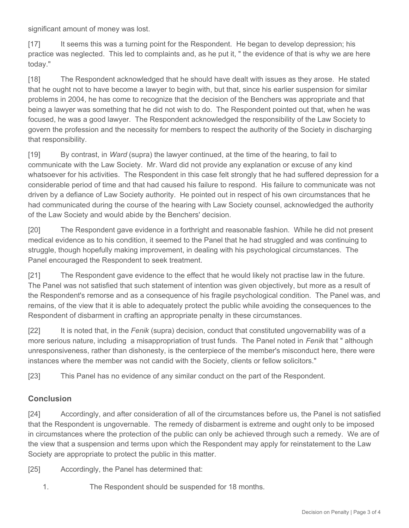significant amount of money was lost.

[17] It seems this was a turning point for the Respondent. He began to develop depression; his practice was neglected. This led to complaints and, as he put it, " the evidence of that is why we are here today."

[18] The Respondent acknowledged that he should have dealt with issues as they arose. He stated that he ought not to have become a lawyer to begin with, but that, since his earlier suspension for similar problems in 2004, he has come to recognize that the decision of the Benchers was appropriate and that being a lawyer was something that he did not wish to do. The Respondent pointed out that, when he was focused, he was a good lawyer. The Respondent acknowledged the responsibility of the Law Society to govern the profession and the necessity for members to respect the authority of the Society in discharging that responsibility.

[19] By contrast, in *Ward* (supra) the lawyer continued, at the time of the hearing, to fail to communicate with the Law Society. Mr. Ward did not provide any explanation or excuse of any kind whatsoever for his activities. The Respondent in this case felt strongly that he had suffered depression for a considerable period of time and that had caused his failure to respond. His failure to communicate was not driven by a defiance of Law Society authority. He pointed out in respect of his own circumstances that he had communicated during the course of the hearing with Law Society counsel, acknowledged the authority of the Law Society and would abide by the Benchers' decision.

[20] The Respondent gave evidence in a forthright and reasonable fashion. While he did not present medical evidence as to his condition, it seemed to the Panel that he had struggled and was continuing to struggle, though hopefully making improvement, in dealing with his psychological circumstances. The Panel encouraged the Respondent to seek treatment.

[21] The Respondent gave evidence to the effect that he would likely not practise law in the future. The Panel was not satisfied that such statement of intention was given objectively, but more as a result of the Respondent's remorse and as a consequence of his fragile psychological condition. The Panel was, and remains, of the view that it is able to adequately protect the public while avoiding the consequences to the Respondent of disbarment in crafting an appropriate penalty in these circumstances.

[22] It is noted that, in the *Fenik* (supra) decision, conduct that constituted ungovernability was of a more serious nature, including a misappropriation of trust funds. The Panel noted in *Fenik* that " although unresponsiveness, rather than dishonesty, is the centerpiece of the member's misconduct here, there were instances where the member was not candid with the Society, clients or fellow solicitors."

[23] This Panel has no evidence of any similar conduct on the part of the Respondent.

## **Conclusion**

[24] Accordingly, and after consideration of all of the circumstances before us, the Panel is not satisfied that the Respondent is ungovernable. The remedy of disbarment is extreme and ought only to be imposed in circumstances where the protection of the public can only be achieved through such a remedy. We are of the view that a suspension and terms upon which the Respondent may apply for reinstatement to the Law Society are appropriate to protect the public in this matter.

[25] Accordingly, the Panel has determined that:

1. The Respondent should be suspended for 18 months.